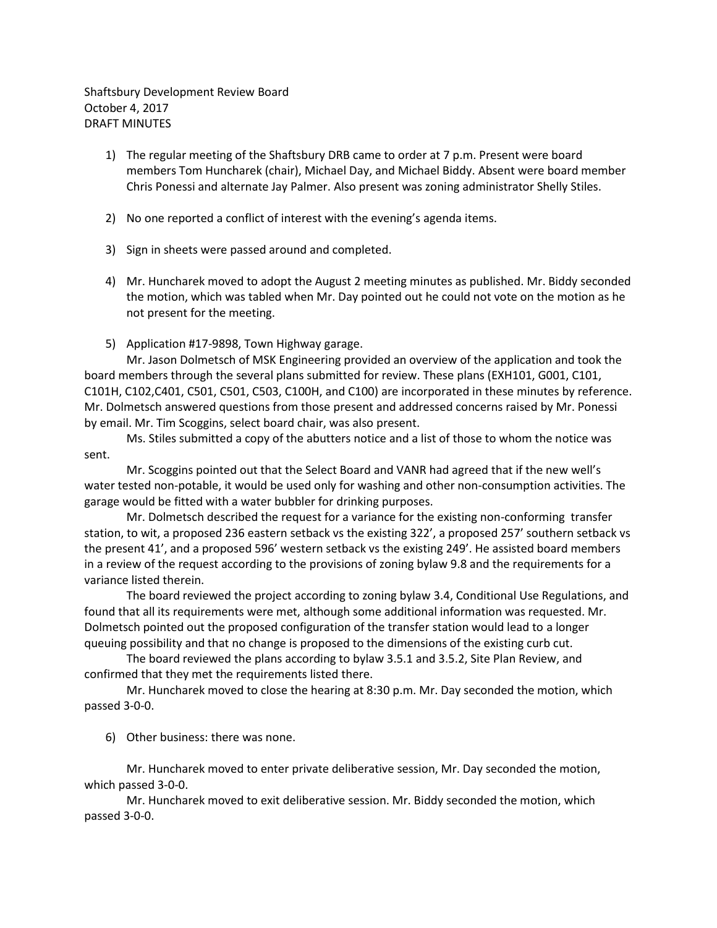Shaftsbury Development Review Board October 4, 2017 DRAFT MINUTES

- 1) The regular meeting of the Shaftsbury DRB came to order at 7 p.m. Present were board members Tom Huncharek (chair), Michael Day, and Michael Biddy. Absent were board member Chris Ponessi and alternate Jay Palmer. Also present was zoning administrator Shelly Stiles.
- 2) No one reported a conflict of interest with the evening's agenda items.
- 3) Sign in sheets were passed around and completed.
- 4) Mr. Huncharek moved to adopt the August 2 meeting minutes as published. Mr. Biddy seconded the motion, which was tabled when Mr. Day pointed out he could not vote on the motion as he not present for the meeting.
- 5) Application #17-9898, Town Highway garage.

Mr. Jason Dolmetsch of MSK Engineering provided an overview of the application and took the board members through the several plans submitted for review. These plans (EXH101, G001, C101, C101H, C102,C401, C501, C501, C503, C100H, and C100) are incorporated in these minutes by reference. Mr. Dolmetsch answered questions from those present and addressed concerns raised by Mr. Ponessi by email. Mr. Tim Scoggins, select board chair, was also present.

Ms. Stiles submitted a copy of the abutters notice and a list of those to whom the notice was sent.

Mr. Scoggins pointed out that the Select Board and VANR had agreed that if the new well's water tested non-potable, it would be used only for washing and other non-consumption activities. The garage would be fitted with a water bubbler for drinking purposes.

Mr. Dolmetsch described the request for a variance for the existing non-conforming transfer station, to wit, a proposed 236 eastern setback vs the existing 322', a proposed 257' southern setback vs the present 41', and a proposed 596' western setback vs the existing 249'. He assisted board members in a review of the request according to the provisions of zoning bylaw 9.8 and the requirements for a variance listed therein.

The board reviewed the project according to zoning bylaw 3.4, Conditional Use Regulations, and found that all its requirements were met, although some additional information was requested. Mr. Dolmetsch pointed out the proposed configuration of the transfer station would lead to a longer queuing possibility and that no change is proposed to the dimensions of the existing curb cut.

The board reviewed the plans according to bylaw 3.5.1 and 3.5.2, Site Plan Review, and confirmed that they met the requirements listed there.

Mr. Huncharek moved to close the hearing at 8:30 p.m. Mr. Day seconded the motion, which passed 3-0-0.

6) Other business: there was none.

Mr. Huncharek moved to enter private deliberative session, Mr. Day seconded the motion, which passed 3-0-0.

Mr. Huncharek moved to exit deliberative session. Mr. Biddy seconded the motion, which passed 3-0-0.